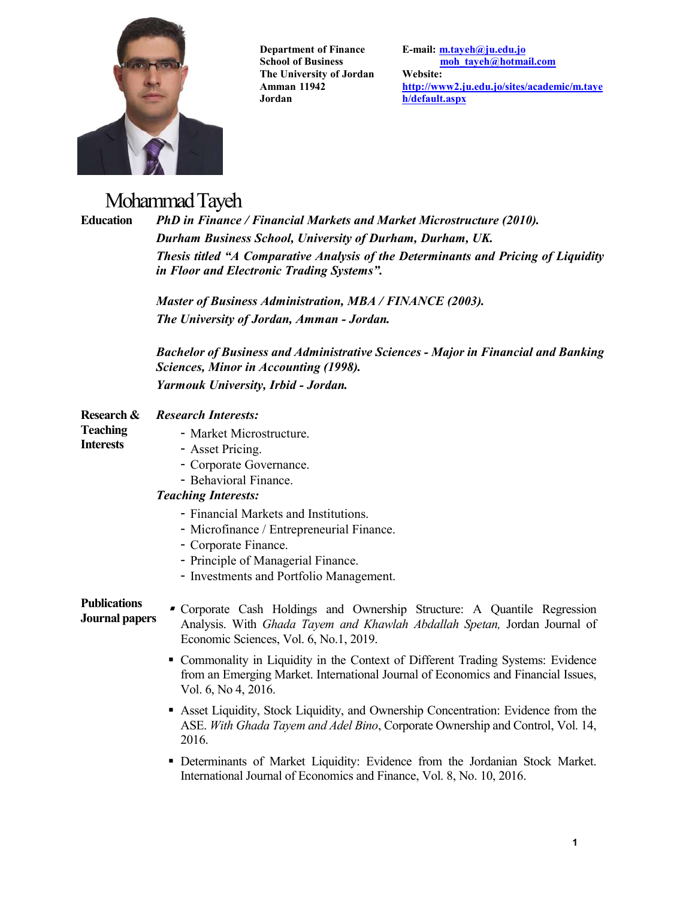

**Department of Finance School of Business The University of Jordan Amman 11942 Jordan**

**E-mail: m.tayeh@ju.edu.jo moh\_tayeh@hotmail.com Website: http://www2.ju.edu.jo/sites/academic/m.taye h/default.aspx**

# Mohammad Tayeh

**Education** *PhD in Finance / Financial Markets and Market Microstructure (2010). Durham Business School, University of Durham, Durham, UK. Thesis titled "A Comparative Analysis of the Determinants and Pricing of Liquidity in Floor and Electronic Trading Systems".*

*Master of Business Administration, MBA / FINANCE (2003).*

|                                                   | The University of Jordan, Amman - Jordan.                                                                                                                                                     |  |
|---------------------------------------------------|-----------------------------------------------------------------------------------------------------------------------------------------------------------------------------------------------|--|
|                                                   | <b>Bachelor of Business and Administrative Sciences - Major in Financial and Banking</b><br>Sciences, Minor in Accounting (1998).                                                             |  |
|                                                   | Yarmouk University, Irbid - Jordan.                                                                                                                                                           |  |
| Research &<br><b>Teaching</b><br><b>Interests</b> | <b>Research Interests:</b>                                                                                                                                                                    |  |
|                                                   | - Market Microstructure.                                                                                                                                                                      |  |
|                                                   | - Asset Pricing.                                                                                                                                                                              |  |
|                                                   | - Corporate Governance.                                                                                                                                                                       |  |
|                                                   | - Behavioral Finance.                                                                                                                                                                         |  |
|                                                   | <b>Teaching Interests:</b>                                                                                                                                                                    |  |
|                                                   | - Financial Markets and Institutions.                                                                                                                                                         |  |
|                                                   | - Microfinance / Entrepreneurial Finance.                                                                                                                                                     |  |
|                                                   | - Corporate Finance.                                                                                                                                                                          |  |
|                                                   | - Principle of Managerial Finance.                                                                                                                                                            |  |
|                                                   | - Investments and Portfolio Management.                                                                                                                                                       |  |
| <b>Publications</b><br><b>Journal papers</b>      | Corporate Cash Holdings and Ownership Structure: A Quantile Regression<br>Analysis. With Ghada Tayem and Khawlah Abdallah Spetan, Jordan Journal of<br>Economic Sciences, Vol. 6, No.1, 2019. |  |
|                                                   | • Commonality in Liquidity in the Context of Different Trading Systems: Evidence<br>from an Emerging Market. International Journal of Economics and Financial Issues,<br>Vol. 6, No 4, 2016.  |  |
|                                                   | • Asset Liquidity, Stock Liquidity, and Ownership Concentration: Evidence from the<br>ASE. With Ghada Tayem and Adel Bino, Corporate Ownership and Control, Vol. 14,<br>2016.                 |  |
|                                                   | • Determinants of Market Liquidity: Evidence from the Jordanian Stock Market.<br>International Journal of Economics and Finance, Vol. 8, No. 10, 2016.                                        |  |
|                                                   |                                                                                                                                                                                               |  |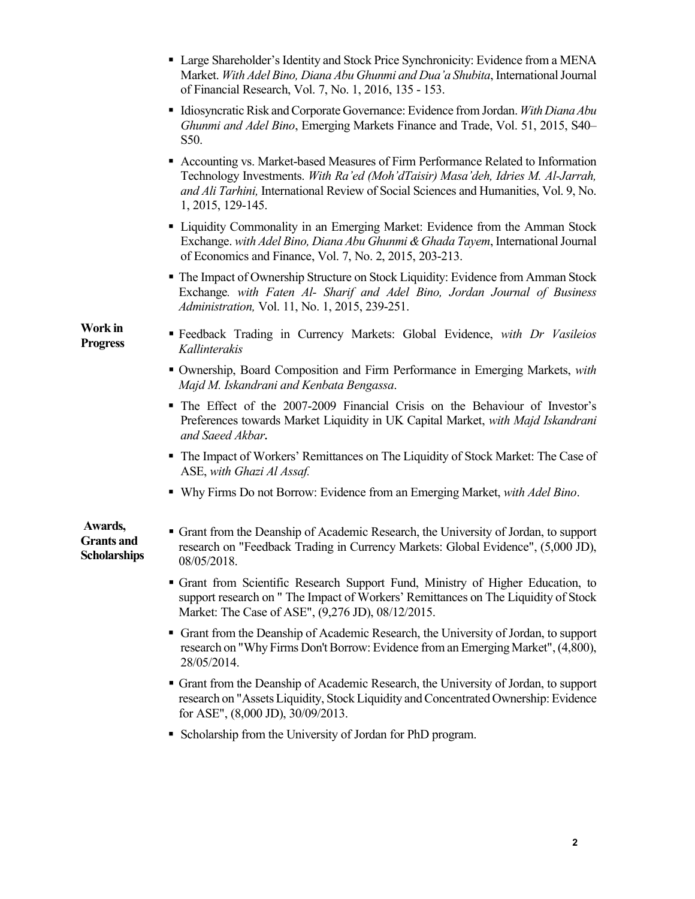|                                                     | • Large Shareholder's Identity and Stock Price Synchronicity: Evidence from a MENA<br>Market. With Adel Bino, Diana Abu Ghunmi and Dua'a Shubita, International Journal<br>of Financial Research, Vol. 7, No. 1, 2016, 135 - 153.                                                 |
|-----------------------------------------------------|-----------------------------------------------------------------------------------------------------------------------------------------------------------------------------------------------------------------------------------------------------------------------------------|
|                                                     | Idiosyncratic Risk and Corporate Governance: Evidence from Jordan. With Diana Abu<br>Ghunmi and Adel Bino, Emerging Markets Finance and Trade, Vol. 51, 2015, S40-<br>S50.                                                                                                        |
|                                                     | • Accounting vs. Market-based Measures of Firm Performance Related to Information<br>Technology Investments. With Ra'ed (Moh'dTaisir) Masa'deh, Idries M. Al-Jarrah,<br>and Ali Tarhini, International Review of Social Sciences and Humanities, Vol. 9, No.<br>1, 2015, 129-145. |
|                                                     | • Liquidity Commonality in an Emerging Market: Evidence from the Amman Stock<br>Exchange. with Adel Bino, Diana Abu Ghunmi & Ghada Tayem, International Journal<br>of Economics and Finance, Vol. 7, No. 2, 2015, 203-213.                                                        |
|                                                     | • The Impact of Ownership Structure on Stock Liquidity: Evidence from Amman Stock<br>Exchange. with Faten Al- Sharif and Adel Bino, Jordan Journal of Business<br>Administration, Vol. 11, No. 1, 2015, 239-251.                                                                  |
| Work in<br><b>Progress</b>                          | " Feedback Trading in Currency Markets: Global Evidence, with Dr Vasileios<br>Kallinterakis                                                                                                                                                                                       |
|                                                     | • Ownership, Board Composition and Firm Performance in Emerging Markets, with<br>Majd M. Iskandrani and Kenbata Bengassa.                                                                                                                                                         |
|                                                     | • The Effect of the 2007-2009 Financial Crisis on the Behaviour of Investor's<br>Preferences towards Market Liquidity in UK Capital Market, with Majd Iskandrani<br>and Saeed Akbar.                                                                                              |
|                                                     | • The Impact of Workers' Remittances on The Liquidity of Stock Market: The Case of<br>ASE, with Ghazi Al Assaf.                                                                                                                                                                   |
|                                                     | • Why Firms Do not Borrow: Evidence from an Emerging Market, with Adel Bino.                                                                                                                                                                                                      |
| Awards,<br><b>Grants and</b><br><b>Scholarships</b> | • Grant from the Deanship of Academic Research, the University of Jordan, to support<br>research on "Feedback Trading in Currency Markets: Global Evidence", (5,000 JD),<br>08/05/2018.                                                                                           |
|                                                     | • Grant from Scientific Research Support Fund, Ministry of Higher Education, to<br>support research on " The Impact of Workers' Remittances on The Liquidity of Stock<br>Market: The Case of ASE", (9,276 JD), 08/12/2015.                                                        |
|                                                     | • Grant from the Deanship of Academic Research, the University of Jordan, to support<br>research on "Why Firms Don't Borrow: Evidence from an Emerging Market", (4,800),<br>28/05/2014.                                                                                           |
|                                                     | • Grant from the Deanship of Academic Research, the University of Jordan, to support<br>research on "Assets Liquidity, Stock Liquidity and Concentrated Ownership: Evidence<br>for ASE", (8,000 JD), 30/09/2013.                                                                  |
|                                                     | • Scholarship from the University of Jordan for PhD program.                                                                                                                                                                                                                      |

**2**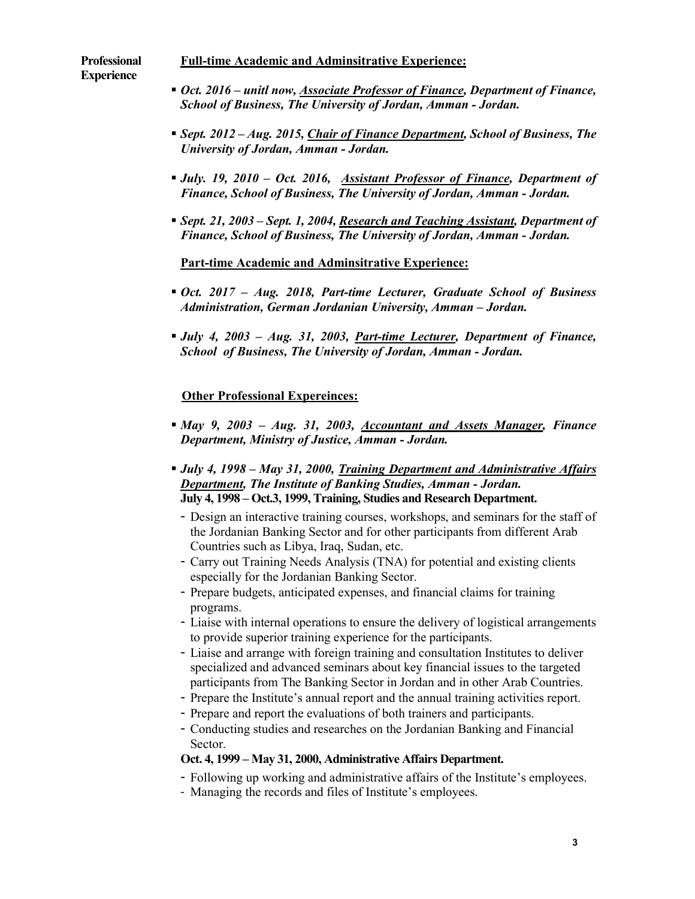#### **Professional Experience Full-time Academic and Adminsitrative Experience:**

- *Oct. 2016 – unitl now, Associate Professor of Finance, Department of Finance, School of Business, The University of Jordan, Amman - Jordan.*
- *Sept. 2012 – Aug. 2015, Chair of Finance Department, School of Business, The University of Jordan, Amman - Jordan.*
- *July. 19, 2010 – Oct. 2016, Assistant Professor of Finance, Department of Finance, School of Business, The University of Jordan, Amman - Jordan.*
- *Sept. 21, 2003 – Sept. 1, 2004, Research and Teaching Assistant, Department of Finance, School of Business, The University of Jordan, Amman - Jordan.*

**Part-time Academic and Adminsitrative Experience:**

- *Oct. 2017 – Aug. 2018, Part-time Lecturer, Graduate School of Business Administration, German Jordanian University, Amman – Jordan.*
- *July 4, 2003 – Aug. 31, 2003, Part-time Lecturer, Department of Finance, School of Business, The University of Jordan, Amman - Jordan.*

# **Other Professional Expereinces:**

- *May 9, 2003 – Aug. 31, 2003, Accountant and Assets Manager, Finance Department, Ministry of Justice, Amman - Jordan.*
- *July 4, 1998 – May 31, 2000, Training Department and Administrative Affairs Department, The Institute of Banking Studies, Amman - Jordan.*  **July 4, 1998 – Oct.3, 1999, Training, Studies and Research Department.** 
	- Design an interactive training courses, workshops, and seminars for the staff of the Jordanian Banking Sector and for other participants from different Arab Countries such as Libya, Iraq, Sudan, etc.
	- Carry out Training Needs Analysis (TNA) for potential and existing clients especially for the Jordanian Banking Sector.
	- Prepare budgets, anticipated expenses, and financial claims for training programs.
	- Liaise with internal operations to ensure the delivery of logistical arrangements to provide superior training experience for the participants.
	- Liaise and arrange with foreign training and consultation Institutes to deliver specialized and advanced seminars about key financial issues to the targeted participants from The Banking Sector in Jordan and in other Arab Countries.
	- Prepare the Institute's annual report and the annual training activities report.
	- Prepare and report the evaluations of both trainers and participants.
	- Conducting studies and researches on the Jordanian Banking and Financial Sector.

## **Oct. 4, 1999 – May 31, 2000, Administrative Affairs Department.**

- Following up working and administrative affairs of the Institute's employees.
- Managing the records and files of Institute's employees.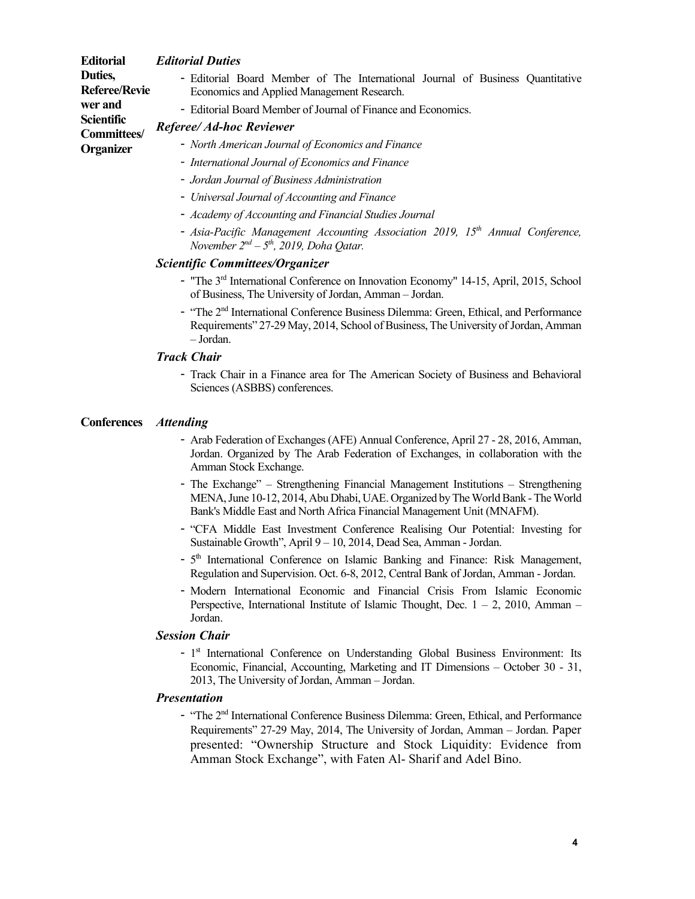| <b>Editorial</b>                     | <b>Editorial Duties</b>                                                                                                      |
|--------------------------------------|------------------------------------------------------------------------------------------------------------------------------|
| Duties,<br><b>Referee/Revie</b>      | - Editorial Board Member of The International Journal of Business Quantitative<br>Economics and Applied Management Research. |
| wer and<br>Scientific<br>Committees/ | - Editorial Board Member of Journal of Finance and Economics.<br>Referee/ Ad-hoc Reviewer                                    |
| Organizer                            | - North American Journal of Economics and Finance<br>- International Journal of Economics and Finance                        |
|                                      | - Jordan Journal of Business Administration                                                                                  |

- *Universal Journal of Accounting and Finance*
- *Academy of Accounting and Financial Studies Journal*
- *Asia-Pacific Management Accounting Association 2019, 15th Annual Conference, November 2nd – 5th, 2019, Doha Qatar.*

#### *Scientific Committees/Organizer*

- "The 3<sup>rd</sup> International Conference on Innovation Economy" 14-15, April, 2015, School of Business, The University of Jordan, Amman – Jordan.
- "The 2nd International Conference Business Dilemma: Green, Ethical, and Performance Requirements" 27-29 May, 2014, School of Business, The University of Jordan, Amman – Jordan.

#### *Track Chair*

- Track Chair in a Finance area for The American Society of Business and Behavioral Sciences (ASBBS) conferences.

#### **Conferences** *Attending*

- Arab Federation of Exchanges (AFE) Annual Conference, April 27 28, 2016, Amman, Jordan. Organized by The Arab Federation of Exchanges, in collaboration with the Amman Stock Exchange.
- The Exchange" Strengthening Financial Management Institutions Strengthening MENA, June 10-12, 2014, Abu Dhabi, UAE. Organized by The World Bank -The World Bank's Middle East and North Africa Financial Management Unit (MNAFM).
- "CFA Middle East Investment Conference Realising Our Potential: Investing for Sustainable Growth", April 9 – 10, 2014, Dead Sea, Amman - Jordan.
- 5<sup>th</sup> International Conference on Islamic Banking and Finance: Risk Management, Regulation and Supervision. Oct. 6-8, 2012, Central Bank of Jordan, Amman - Jordan.
- Modern International Economic and Financial Crisis From Islamic Economic Perspective, International Institute of Islamic Thought, Dec.  $1 - 2$ , 2010, Amman – Jordan.

#### *Session Chair*

- 1<sup>st</sup> International Conference on Understanding Global Business Environment: Its Economic, Financial, Accounting, Marketing and IT Dimensions – October 30 - 31, 2013, The University of Jordan, Amman – Jordan.

#### *Presentation*

- "The 2<sup>nd</sup> International Conference Business Dilemma: Green, Ethical, and Performance Requirements" 27-29 May, 2014, The University of Jordan, Amman – Jordan. Paper presented: "Ownership Structure and Stock Liquidity: Evidence from Amman Stock Exchange", with Faten Al- Sharif and Adel Bino.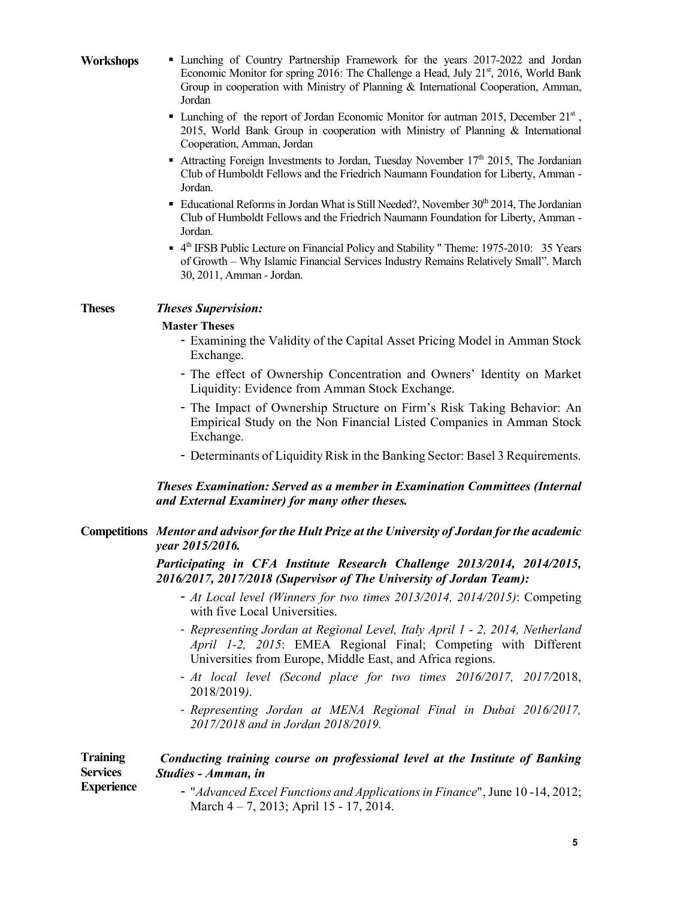|  | <b>Workshops</b> |
|--|------------------|
|--|------------------|

- **K** Lunching of Country Partnership Framework for the years 2017-2022 and Jordan Economic Monitor for spring 2016: The Challenge a Head, July 21<sup>st</sup>, 2016, World Bank Group in cooperation with Ministry of Planning & International Cooperation, Amman, Jordan
	- **Lunching of the report of Jordan Economic Monitor for autman 2015, December 21**st, 2015, World Bank Group in cooperation with Ministry of Planning & International Cooperation, Amman, Jordan
	- Attracting Foreign Investments to Jordan, Tuesday November  $17<sup>th</sup>$  2015, The Jordanian Club of Humboldt Fellows and the Friedrich Naumann Foundation for Liberty, Amman - Jordan.
	- Educational Reforms in Jordan What is Still Needed?, November  $30<sup>th</sup> 2014$ , The Jordanian Club of Humboldt Fellows and the Friedrich Naumann Foundation for Liberty, Amman - Jordan.
	- $\bullet$  4<sup>th</sup> IFSB Public Lecture on Financial Policy and Stability " Theme: 1975-2010: 35 Years of Growth – Why Islamic Financial Services Industry Remains Relatively Small". March 30, 2011, Amman - Jordan.

### **Theses** *Theses Supervision:*

### **Master Theses**

- Examining the Validity of the Capital Asset Pricing Model in Amman Stock Exchange.
- The effect of Ownership Concentration and Owners' Identity on Market Liquidity: Evidence from Amman Stock Exchange.
- The Impact of Ownership Structure on Firm's Risk Taking Behavior: An Empirical Study on the Non Financial Listed Companies in Amman Stock Exchange.
- Determinants of Liquidity Risk in the Banking Sector: Basel 3 Requirements.

### *Theses Examination: Served as a member in Examination Committees (Internal and External Examiner) for many other theses.*

### **Competitions** *Mentor and advisor for the Hult Prize at the University of Jordan for the academic year 2015/2016.*

#### *Participating in CFA Institute Research Challenge 2013/2014, 2014/2015, 2016/2017, 2017/2018 (Supervisor of The University of Jordan Team):*

- *At Local level (Winners for two times 2013/2014, 2014/2015)*: Competing with five Local Universities.
- *Representing Jordan at Regional Level, Italy April 1 - 2, 2014, Netherland April 1-2, 2015*: EMEA Regional Final; Competing with Different Universities from Europe, Middle East, and Africa regions.
- *At local level (Second place for two times 2016/2017, 2017/*2018, 2018/2019*)*.
- *Representing Jordan at MENA Regional Final in Dubai 2016/2017, 2017/2018 and in Jordan 2018/2019.*

| <b>Training</b>                      | Conducting training course on professional level at the Institute of Banking |
|--------------------------------------|------------------------------------------------------------------------------|
| <b>Services</b><br><b>Experience</b> | Studies - Amman, in                                                          |
|                                      | - "Advanced Excel Functions and Applications in Finance", June 10-14, 2012;  |

March 4 – 7, 2013; April 15 - 17, 2014.